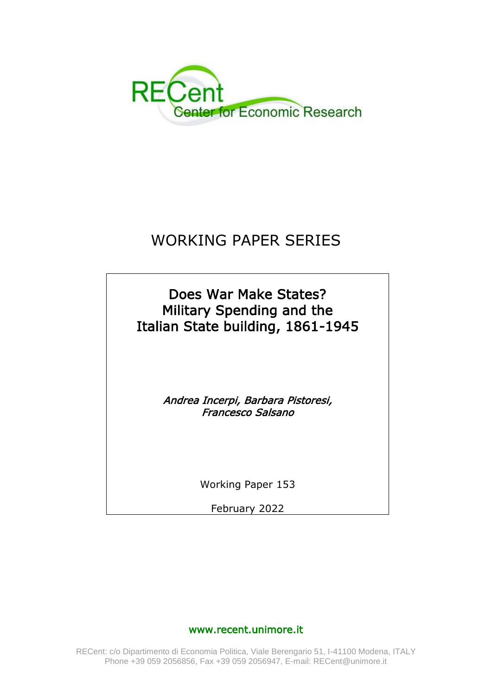

# WORKING PAPER SERIES

Does War Make States? Military Spending and the Italian State building, 1861-1945

> Andrea Incerpi, Barbara Pistoresi, Francesco Salsano

> > Working Paper 153

February 2022

# www.recent.unimore.it

RECent: c/o Dipartimento di Economia Politica, Viale Berengario 51, I-41100 Modena, ITALY Phone +39 059 2056856, Fax +39 059 2056947, E-mail: RECent@unimore.it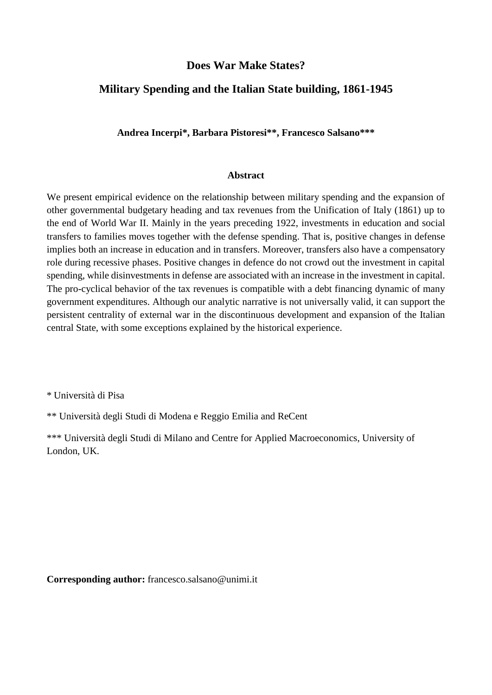# **Does War Make States?**

# **Military Spending and the Italian State building, 1861-1945**

**Andrea Incerpi\*, Barbara Pistoresi\*\*, Francesco Salsano\*\*\***

#### **Abstract**

We present empirical evidence on the relationship between military spending and the expansion of other governmental budgetary heading and tax revenues from the Unification of Italy (1861) up to the end of World War II. Mainly in the years preceding 1922, investments in education and social transfers to families moves together with the defense spending. That is, positive changes in defense implies both an increase in education and in transfers. Moreover, transfers also have a compensatory role during recessive phases. Positive changes in defence do not crowd out the investment in capital spending, while disinvestments in defense are associated with an increase in the investment in capital. The pro-cyclical behavior of the tax revenues is compatible with a debt financing dynamic of many government expenditures. Although our analytic narrative is not universally valid, it can support the persistent centrality of external war in the discontinuous development and expansion of the Italian central State, with some exceptions explained by the historical experience.

\* Università di Pisa

\*\* Università degli Studi di Modena e Reggio Emilia and ReCent

\*\*\* Università degli Studi di Milano and Centre for Applied Macroeconomics, University of London, UK.

**Corresponding author:** francesco.salsano@unimi.it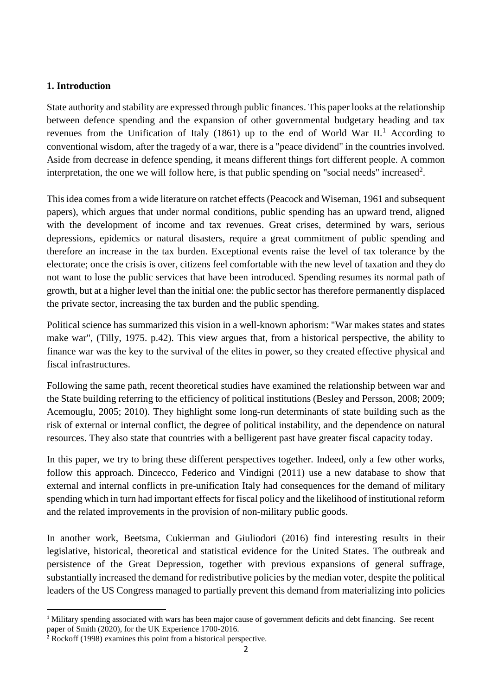#### **1. Introduction**

State authority and stability are expressed through public finances. This paper looks at the relationship between defence spending and the expansion of other governmental budgetary heading and tax revenues from the Unification of Italy  $(1861)$  up to the end of World War II.<sup>1</sup> According to conventional wisdom, after the tragedy of a war, there is a "peace dividend" in the countries involved. Aside from decrease in defence spending, it means different things fort different people. A common interpretation, the one we will follow here, is that public spending on "social needs" increased<sup>2</sup>.

This idea comes from a wide literature on ratchet effects (Peacock and Wiseman, 1961 and subsequent papers), which argues that under normal conditions, public spending has an upward trend, aligned with the development of income and tax revenues. Great crises, determined by wars, serious depressions, epidemics or natural disasters, require a great commitment of public spending and therefore an increase in the tax burden. Exceptional events raise the level of tax tolerance by the electorate; once the crisis is over, citizens feel comfortable with the new level of taxation and they do not want to lose the public services that have been introduced. Spending resumes its normal path of growth, but at a higher level than the initial one: the public sector has therefore permanently displaced the private sector, increasing the tax burden and the public spending.

Political science has summarized this vision in a well-known aphorism: "War makes states and states make war", (Tilly, 1975. p.42). This view argues that, from a historical perspective, the ability to finance war was the key to the survival of the elites in power, so they created effective physical and fiscal infrastructures.

Following the same path, recent theoretical studies have examined the relationship between war and the State building referring to the efficiency of political institutions (Besley and Persson, 2008; 2009; Acemouglu, 2005; 2010). They highlight some long-run determinants of state building such as the risk of external or internal conflict, the degree of political instability, and the dependence on natural resources. They also state that countries with a belligerent past have greater fiscal capacity today.

In this paper, we try to bring these different perspectives together. Indeed, only a few other works, follow this approach. Dincecco, Federico and Vindigni (2011) use a new database to show that external and internal conflicts in pre-unification Italy had consequences for the demand of military spending which in turn had important effects for fiscal policy and the likelihood of institutional reform and the related improvements in the provision of non-military public goods.

In another work, Beetsma, Cukierman and Giuliodori (2016) find interesting results in their legislative, historical, theoretical and statistical evidence for the United States. The outbreak and persistence of the Great Depression, together with previous expansions of general suffrage, substantially increased the demand for redistributive policies by the median voter, despite the political leaders of the US Congress managed to partially prevent this demand from materializing into policies

**.** 

<sup>&</sup>lt;sup>1</sup> Military spending associated with wars has been major cause of government deficits and debt financing. See recent paper of Smith (2020), for the UK Experience 1700-2016.

<sup>2</sup> Rockoff (1998) examines this point from a historical perspective.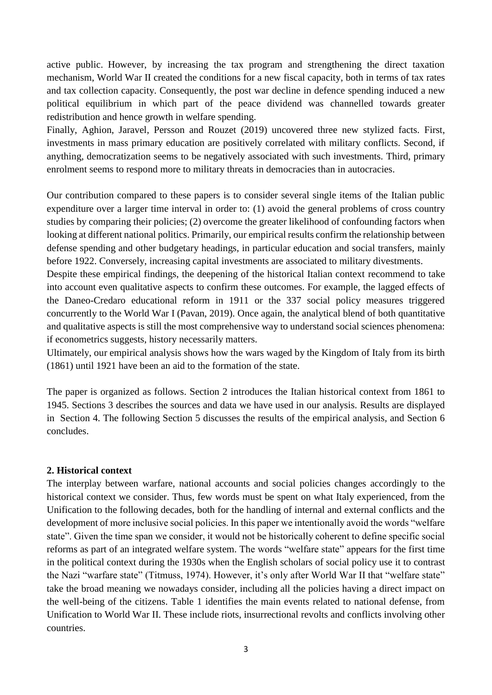active public. However, by increasing the tax program and strengthening the direct taxation mechanism, World War II created the conditions for a new fiscal capacity, both in terms of tax rates and tax collection capacity. Consequently, the post war decline in defence spending induced a new political equilibrium in which part of the peace dividend was channelled towards greater redistribution and hence growth in welfare spending.

Finally, Aghion, Jaravel, Persson and Rouzet (2019) uncovered three new stylized facts. First, investments in mass primary education are positively correlated with military conflicts. Second, if anything, democratization seems to be negatively associated with such investments. Third, primary enrolment seems to respond more to military threats in democracies than in autocracies.

Our contribution compared to these papers is to consider several single items of the Italian public expenditure over a larger time interval in order to: (1) avoid the general problems of cross country studies by comparing their policies; (2) overcome the greater likelihood of confounding factors when looking at different national politics. Primarily, our empirical results confirm the relationship between defense spending and other budgetary headings, in particular education and social transfers, mainly before 1922. Conversely, increasing capital investments are associated to military divestments.

Despite these empirical findings, the deepening of the historical Italian context recommend to take into account even qualitative aspects to confirm these outcomes. For example, the lagged effects of the Daneo-Credaro educational reform in 1911 or the 337 social policy measures triggered concurrently to the World War I (Pavan, 2019). Once again, the analytical blend of both quantitative and qualitative aspects is still the most comprehensive way to understand social sciences phenomena: if econometrics suggests, history necessarily matters.

Ultimately, our empirical analysis shows how the wars waged by the Kingdom of Italy from its birth (1861) until 1921 have been an aid to the formation of the state.

The paper is organized as follows. Section 2 introduces the Italian historical context from 1861 to 1945. Sections 3 describes the sources and data we have used in our analysis. Results are displayed in Section 4. The following Section 5 discusses the results of the empirical analysis, and Section 6 concludes.

### **2. Historical context**

The interplay between warfare, national accounts and social policies changes accordingly to the historical context we consider. Thus, few words must be spent on what Italy experienced, from the Unification to the following decades, both for the handling of internal and external conflicts and the development of more inclusive social policies. In this paper we intentionally avoid the words "welfare state". Given the time span we consider, it would not be historically coherent to define specific social reforms as part of an integrated welfare system. The words "welfare state" appears for the first time in the political context during the 1930s when the English scholars of social policy use it to contrast the Nazi "warfare state" (Titmuss, 1974). However, it's only after World War II that "welfare state" take the broad meaning we nowadays consider, including all the policies having a direct impact on the well-being of the citizens. Table 1 identifies the main events related to national defense, from Unification to World War II. These include riots, insurrectional revolts and conflicts involving other countries.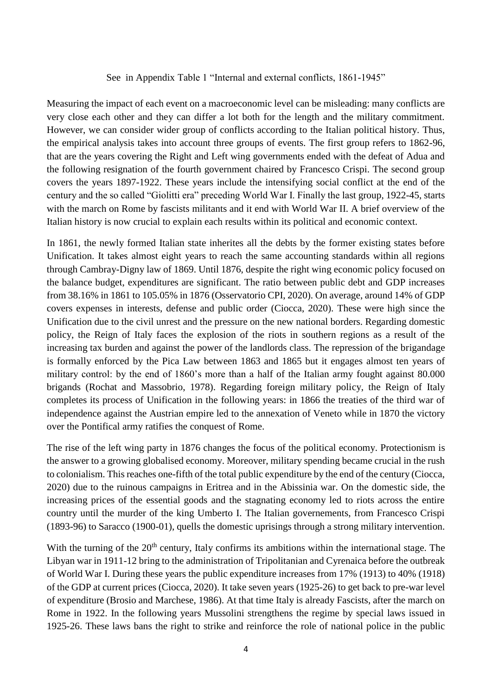#### See in Appendix Table 1 "Internal and external conflicts, 1861-1945"

Measuring the impact of each event on a macroeconomic level can be misleading: many conflicts are very close each other and they can differ a lot both for the length and the military commitment. However, we can consider wider group of conflicts according to the Italian political history. Thus, the empirical analysis takes into account three groups of events. The first group refers to 1862-96, that are the years covering the Right and Left wing governments ended with the defeat of Adua and the following resignation of the fourth government chaired by Francesco Crispi. The second group covers the years 1897-1922. These years include the intensifying social conflict at the end of the century and the so called "Giolitti era" preceding World War I. Finally the last group, 1922-45, starts with the march on Rome by fascists militants and it end with World War II. A brief overview of the Italian history is now crucial to explain each results within its political and economic context.

In 1861, the newly formed Italian state inherites all the debts by the former existing states before Unification. It takes almost eight years to reach the same accounting standards within all regions through Cambray-Digny law of 1869. Until 1876, despite the right wing economic policy focused on the balance budget, expenditures are significant. The ratio between public debt and GDP increases from 38.16% in 1861 to 105.05% in 1876 (Osservatorio CPI, 2020). On average, around 14% of GDP covers expenses in interests, defense and public order (Ciocca, 2020). These were high since the Unification due to the civil unrest and the pressure on the new national borders. Regarding domestic policy, the Reign of Italy faces the explosion of the riots in southern regions as a result of the increasing tax burden and against the power of the landlords class. The repression of the brigandage is formally enforced by the Pica Law between 1863 and 1865 but it engages almost ten years of military control: by the end of 1860's more than a half of the Italian army fought against 80.000 brigands (Rochat and Massobrio, 1978). Regarding foreign military policy, the Reign of Italy completes its process of Unification in the following years: in 1866 the treaties of the third war of independence against the Austrian empire led to the annexation of Veneto while in 1870 the victory over the Pontifical army ratifies the conquest of Rome.

The rise of the left wing party in 1876 changes the focus of the political economy. Protectionism is the answer to a growing globalised economy. Moreover, military spending became crucial in the rush to colonialism. This reaches one-fifth of the total public expenditure by the end of the century (Ciocca, 2020) due to the ruinous campaigns in Eritrea and in the Abissinia war. On the domestic side, the increasing prices of the essential goods and the stagnating economy led to riots across the entire country until the murder of the king Umberto I. The Italian governements, from Francesco Crispi (1893-96) to Saracco (1900-01), quells the domestic uprisings through a strong military intervention.

With the turning of the 20<sup>th</sup> century, Italy confirms its ambitions within the international stage. The Libyan war in 1911-12 bring to the administration of Tripolitanian and Cyrenaica before the outbreak of World War I. During these years the public expenditure increases from 17% (1913) to 40% (1918) of the GDP at current prices (Ciocca, 2020). It take seven years (1925-26) to get back to pre-war level of expenditure (Brosio and Marchese, 1986). At that time Italy is already Fascists, after the march on Rome in 1922. In the following years Mussolini strengthens the regime by special laws issued in 1925-26. These laws bans the right to strike and reinforce the role of national police in the public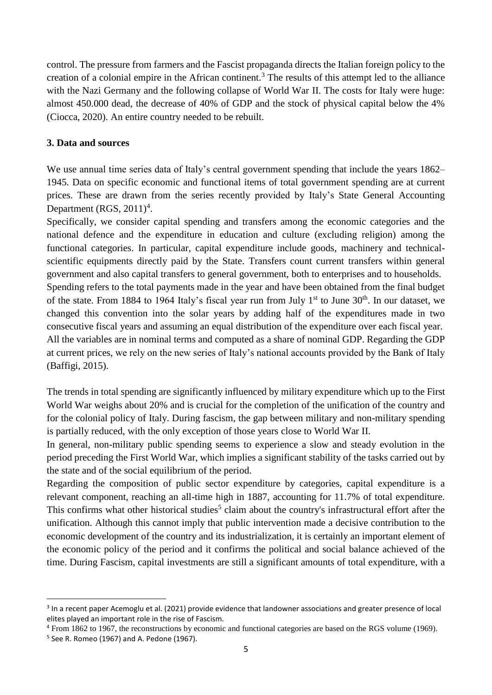control. The pressure from farmers and the Fascist propaganda directs the Italian foreign policy to the creation of a colonial empire in the African continent.<sup>3</sup> The results of this attempt led to the alliance with the Nazi Germany and the following collapse of World War II. The costs for Italy were huge: almost 450.000 dead, the decrease of 40% of GDP and the stock of physical capital below the 4% (Ciocca, 2020). An entire country needed to be rebuilt.

#### **3. Data and sources**

We use annual time series data of Italy's central government spending that include the years 1862– 1945. Data on specific economic and functional items of total government spending are at current prices. These are drawn from the series recently provided by Italy's State General Accounting Department  $(RGS, 2011)^4$ .

Specifically, we consider capital spending and transfers among the economic categories and the national defence and the expenditure in education and culture (excluding religion) among the functional categories. In particular, capital expenditure include goods, machinery and technicalscientific equipments directly paid by the State. Transfers count current transfers within general government and also capital transfers to general government, both to enterprises and to households. Spending refers to the total payments made in the year and have been obtained from the final budget of the state. From 1884 to 1964 Italy's fiscal year run from July  $1<sup>st</sup>$  to June  $30<sup>th</sup>$ . In our dataset, we changed this convention into the solar years by adding half of the expenditures made in two consecutive fiscal years and assuming an equal distribution of the expenditure over each fiscal year. All the variables are in nominal terms and computed as a share of nominal GDP. Regarding the GDP at current prices, we rely on the new series of Italy's national accounts provided by the Bank of Italy (Baffigi, 2015).

The trends in total spending are significantly influenced by military expenditure which up to the First World War weighs about 20% and is crucial for the completion of the unification of the country and for the colonial policy of Italy. During fascism, the gap between military and non-military spending is partially reduced, with the only exception of those years close to World War II.

In general, non-military public spending seems to experience a slow and steady evolution in the period preceding the First World War, which implies a significant stability of the tasks carried out by the state and of the social equilibrium of the period.

Regarding the composition of public sector expenditure by categories, capital expenditure is a relevant component, reaching an all-time high in 1887, accounting for 11.7% of total expenditure. This confirms what other historical studies<sup>5</sup> claim about the country's infrastructural effort after the unification. Although this cannot imply that public intervention made a decisive contribution to the economic development of the country and its industrialization, it is certainly an important element of the economic policy of the period and it confirms the political and social balance achieved of the time. During Fascism, capital investments are still a significant amounts of total expenditure, with a

1

<sup>&</sup>lt;sup>3</sup> In a recent paper Acemoglu et al. (2021) provide evidence that landowner associations and greater presence of local elites played an important role in the rise of Fascism.

<sup>4</sup> From 1862 to 1967, the reconstructions by economic and functional categories are based on the RGS volume (1969).

<sup>5</sup> See R. Romeo (1967) and A. Pedone (1967).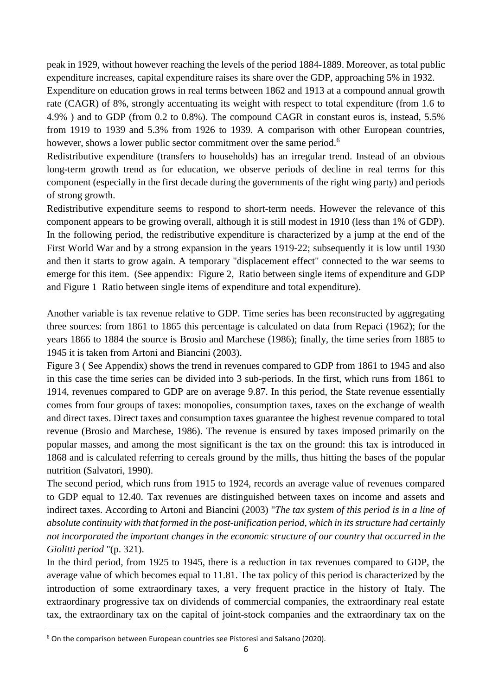peak in 1929, without however reaching the levels of the period 1884-1889. Moreover, as total public expenditure increases, capital expenditure raises its share over the GDP, approaching 5% in 1932.

Expenditure on education grows in real terms between 1862 and 1913 at a compound annual growth rate (CAGR) of 8%, strongly accentuating its weight with respect to total expenditure (from 1.6 to 4.9% ) and to GDP (from 0.2 to 0.8%). The compound CAGR in constant euros is, instead, 5.5% from 1919 to 1939 and 5.3% from 1926 to 1939. A comparison with other European countries, however, shows a lower public sector commitment over the same period.<sup>6</sup>

Redistributive expenditure (transfers to households) has an irregular trend. Instead of an obvious long-term growth trend as for education, we observe periods of decline in real terms for this component (especially in the first decade during the governments of the right wing party) and periods of strong growth.

Redistributive expenditure seems to respond to short-term needs. However the relevance of this component appears to be growing overall, although it is still modest in 1910 (less than 1% of GDP). In the following period, the redistributive expenditure is characterized by a jump at the end of the First World War and by a strong expansion in the years 1919-22; subsequently it is low until 1930 and then it starts to grow again. A temporary "displacement effect" connected to the war seems to emerge for this item. (See appendix: Figure 2, Ratio between single items of expenditure and GDP and Figure 1 Ratio between single items of expenditure and total expenditure).

Another variable is tax revenue relative to GDP. Time series has been reconstructed by aggregating three sources: from 1861 to 1865 this percentage is calculated on data from Repaci (1962); for the years 1866 to 1884 the source is Brosio and Marchese (1986); finally, the time series from 1885 to 1945 it is taken from Artoni and Biancini (2003).

Figure 3 ( See Appendix) shows the trend in revenues compared to GDP from 1861 to 1945 and also in this case the time series can be divided into 3 sub-periods. In the first, which runs from 1861 to 1914, revenues compared to GDP are on average 9.87. In this period, the State revenue essentially comes from four groups of taxes: monopolies, consumption taxes, taxes on the exchange of wealth and direct taxes. Direct taxes and consumption taxes guarantee the highest revenue compared to total revenue (Brosio and Marchese, 1986). The revenue is ensured by taxes imposed primarily on the popular masses, and among the most significant is the tax on the ground: this tax is introduced in 1868 and is calculated referring to cereals ground by the mills, thus hitting the bases of the popular nutrition (Salvatori, 1990).

The second period, which runs from 1915 to 1924, records an average value of revenues compared to GDP equal to 12.40. Tax revenues are distinguished between taxes on income and assets and indirect taxes. According to Artoni and Biancini (2003) "*The tax system of this period is in a line of absolute continuity with that formed in the post-unification period, which in its structure had certainly not incorporated the important changes in the economic structure of our country that occurred in the Giolitti period* "(p. 321).

In the third period, from 1925 to 1945, there is a reduction in tax revenues compared to GDP, the average value of which becomes equal to 11.81. The tax policy of this period is characterized by the introduction of some extraordinary taxes, a very frequent practice in the history of Italy. The extraordinary progressive tax on dividends of commercial companies, the extraordinary real estate tax, the extraordinary tax on the capital of joint-stock companies and the extraordinary tax on the

**.** 

<sup>6</sup> On the comparison between European countries see Pistoresi and Salsano (2020).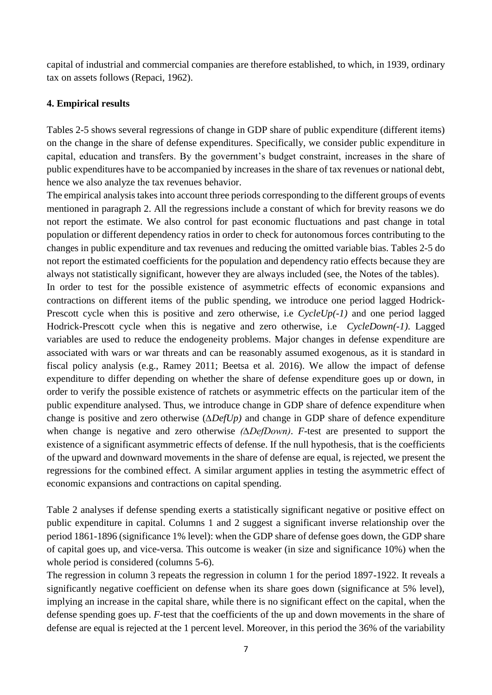capital of industrial and commercial companies are therefore established, to which, in 1939, ordinary tax on assets follows (Repaci, 1962).

#### **4. Empirical results**

Tables 2-5 shows several regressions of change in GDP share of public expenditure (different items) on the change in the share of defense expenditures. Specifically, we consider public expenditure in capital, education and transfers. By the government's budget constraint, increases in the share of public expenditures have to be accompanied by increases in the share of tax revenues or national debt, hence we also analyze the tax revenues behavior.

The empirical analysis takes into account three periods corresponding to the different groups of events mentioned in paragraph 2. All the regressions include a constant of which for brevity reasons we do not report the estimate. We also control for past economic fluctuations and past change in total population or different dependency ratios in order to check for autonomous forces contributing to the changes in public expenditure and tax revenues and reducing the omitted variable bias. Tables 2-5 do not report the estimated coefficients for the population and dependency ratio effects because they are always not statistically significant, however they are always included (see, the Notes of the tables).

In order to test for the possible existence of asymmetric effects of economic expansions and contractions on different items of the public spending, we introduce one period lagged Hodrick-Prescott cycle when this is positive and zero otherwise, i.e *CycleUp(-1)* and one period lagged Hodrick-Prescott cycle when this is negative and zero otherwise, i.e *CycleDown(-1)*. Lagged variables are used to reduce the endogeneity problems. Major changes in defense expenditure are associated with wars or war threats and can be reasonably assumed exogenous, as it is standard in fiscal policy analysis (e.g., Ramey 2011; Beetsa et al. 2016). We allow the impact of defense expenditure to differ depending on whether the share of defense expenditure goes up or down, in order to verify the possible existence of ratchets or asymmetric effects on the particular item of the public expenditure analysed. Thus, we introduce change in GDP share of defence expenditure when change is positive and zero otherwise (*∆DefUp)* and change in GDP share of defence expenditure when change is negative and zero otherwise *(∆DefDown)*. *F*-test are presented to support the existence of a significant asymmetric effects of defense. If the null hypothesis, that is the coefficients of the upward and downward movements in the share of defense are equal, is rejected, we present the regressions for the combined effect. A similar argument applies in testing the asymmetric effect of economic expansions and contractions on capital spending.

Table 2 analyses if defense spending exerts a statistically significant negative or positive effect on public expenditure in capital. Columns 1 and 2 suggest a significant inverse relationship over the period 1861-1896 (significance 1% level): when the GDP share of defense goes down, the GDP share of capital goes up, and vice-versa. This outcome is weaker (in size and significance 10%) when the whole period is considered (columns 5-6).

The regression in column 3 repeats the regression in column 1 for the period 1897-1922. It reveals a significantly negative coefficient on defense when its share goes down (significance at 5% level), implying an increase in the capital share, while there is no significant effect on the capital, when the defense spending goes up. *F*-test that the coefficients of the up and down movements in the share of defense are equal is rejected at the 1 percent level. Moreover, in this period the 36% of the variability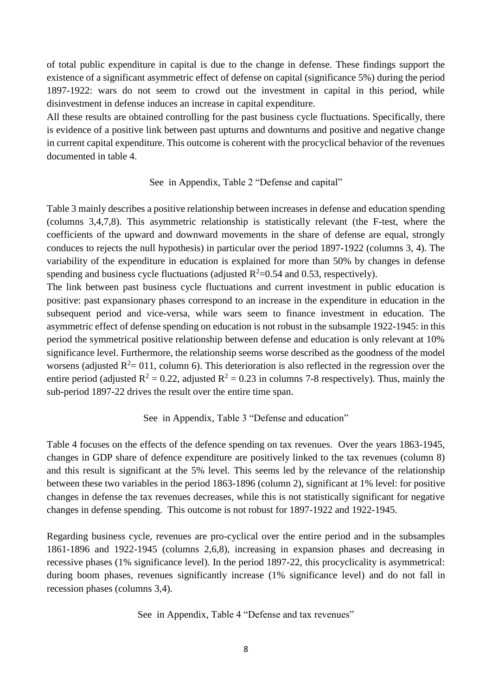of total public expenditure in capital is due to the change in defense. These findings support the existence of a significant asymmetric effect of defense on capital (significance 5%) during the period 1897-1922: wars do not seem to crowd out the investment in capital in this period, while disinvestment in defense induces an increase in capital expenditure.

All these results are obtained controlling for the past business cycle fluctuations. Specifically, there is evidence of a positive link between past upturns and downturns and positive and negative change in current capital expenditure. This outcome is coherent with the procyclical behavior of the revenues documented in table 4.

#### See in Appendix, Table 2 "Defense and capital"

Table 3 mainly describes a positive relationship between increases in defense and education spending (columns 3,4,7,8). This asymmetric relationship is statistically relevant (the F-test, where the coefficients of the upward and downward movements in the share of defense are equal, strongly conduces to rejects the null hypothesis) in particular over the period 1897-1922 (columns 3, 4). The variability of the expenditure in education is explained for more than 50% by changes in defense spending and business cycle fluctuations (adjusted  $R^2$ =0.54 and 0.53, respectively).

The link between past business cycle fluctuations and current investment in public education is positive: past expansionary phases correspond to an increase in the expenditure in education in the subsequent period and vice-versa, while wars seem to finance investment in education. The asymmetric effect of defense spending on education is not robust in the subsample 1922-1945: in this period the symmetrical positive relationship between defense and education is only relevant at 10% significance level. Furthermore, the relationship seems worse described as the goodness of the model worsens (adjusted  $R^2 = 011$ , column 6). This deterioration is also reflected in the regression over the entire period (adjusted  $R^2 = 0.22$ , adjusted  $R^2 = 0.23$  in columns 7-8 respectively). Thus, mainly the sub-period 1897-22 drives the result over the entire time span.

#### See in Appendix, Table 3 "Defense and education"

Table 4 focuses on the effects of the defence spending on tax revenues. Over the years 1863-1945, changes in GDP share of defence expenditure are positively linked to the tax revenues (column 8) and this result is significant at the 5% level. This seems led by the relevance of the relationship between these two variables in the period 1863-1896 (column 2), significant at 1% level: for positive changes in defense the tax revenues decreases, while this is not statistically significant for negative changes in defense spending. This outcome is not robust for 1897-1922 and 1922-1945.

Regarding business cycle, revenues are pro-cyclical over the entire period and in the subsamples 1861-1896 and 1922-1945 (columns 2,6,8), increasing in expansion phases and decreasing in recessive phases (1% significance level). In the period 1897-22, this procyclicality is asymmetrical: during boom phases, revenues significantly increase (1% significance level) and do not fall in recession phases (columns 3,4).

See in Appendix, Table 4 "Defense and tax revenues"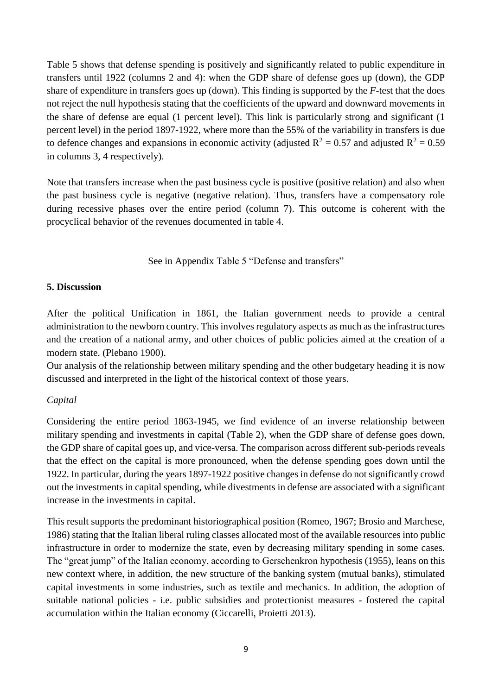Table 5 shows that defense spending is positively and significantly related to public expenditure in transfers until 1922 (columns 2 and 4): when the GDP share of defense goes up (down), the GDP share of expenditure in transfers goes up (down). This finding is supported by the *F*-test that the does not reject the null hypothesis stating that the coefficients of the upward and downward movements in the share of defense are equal (1 percent level). This link is particularly strong and significant (1 percent level) in the period 1897-1922, where more than the 55% of the variability in transfers is due to defence changes and expansions in economic activity (adjusted  $R^2 = 0.57$  and adjusted  $R^2 = 0.59$ in columns 3, 4 respectively).

Note that transfers increase when the past business cycle is positive (positive relation) and also when the past business cycle is negative (negative relation). Thus, transfers have a compensatory role during recessive phases over the entire period (column 7). This outcome is coherent with the procyclical behavior of the revenues documented in table 4.

See in Appendix Table 5 "Defense and transfers"

### **5. Discussion**

After the political Unification in 1861, the Italian government needs to provide a central administration to the newborn country. This involves regulatory aspects as much as the infrastructures and the creation of a national army, and other choices of public policies aimed at the creation of a modern state. (Plebano 1900).

Our analysis of the relationship between military spending and the other budgetary heading it is now discussed and interpreted in the light of the historical context of those years.

### *Capital*

Considering the entire period 1863-1945, we find evidence of an inverse relationship between military spending and investments in capital (Table 2), when the GDP share of defense goes down, the GDP share of capital goes up, and vice-versa. The comparison across different sub-periods reveals that the effect on the capital is more pronounced, when the defense spending goes down until the 1922. In particular, during the years 1897-1922 positive changes in defense do not significantly crowd out the investments in capital spending, while divestments in defense are associated with a significant increase in the investments in capital.

This result supports the predominant historiographical position (Romeo, 1967; Brosio and Marchese, 1986) stating that the Italian liberal ruling classes allocated most of the available resources into public infrastructure in order to modernize the state, even by decreasing military spending in some cases. The "great jump" of the Italian economy, according to Gerschenkron hypothesis (1955), leans on this new context where, in addition, the new structure of the banking system (mutual banks), stimulated capital investments in some industries, such as textile and mechanics. In addition, the adoption of suitable national policies - i.e. public subsidies and protectionist measures - fostered the capital accumulation within the Italian economy (Ciccarelli, Proietti 2013).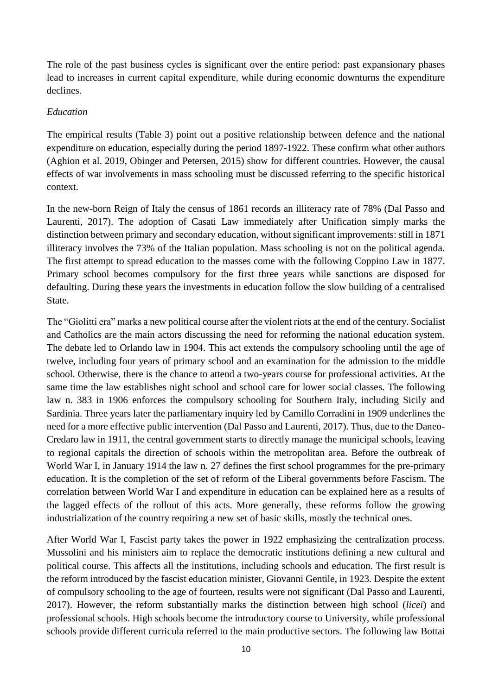The role of the past business cycles is significant over the entire period: past expansionary phases lead to increases in current capital expenditure, while during economic downturns the expenditure declines.

#### *Education*

The empirical results (Table 3) point out a positive relationship between defence and the national expenditure on education, especially during the period 1897-1922. These confirm what other authors (Aghion et al. 2019, Obinger and Petersen, 2015) show for different countries. However, the causal effects of war involvements in mass schooling must be discussed referring to the specific historical context.

In the new-born Reign of Italy the census of 1861 records an illiteracy rate of 78% (Dal Passo and Laurenti, 2017). The adoption of Casati Law immediately after Unification simply marks the distinction between primary and secondary education, without significant improvements: still in 1871 illiteracy involves the 73% of the Italian population. Mass schooling is not on the political agenda. The first attempt to spread education to the masses come with the following Coppino Law in 1877. Primary school becomes compulsory for the first three years while sanctions are disposed for defaulting. During these years the investments in education follow the slow building of a centralised State.

The "Giolitti era" marks a new political course after the violent riots at the end of the century. Socialist and Catholics are the main actors discussing the need for reforming the national education system. The debate led to Orlando law in 1904. This act extends the compulsory schooling until the age of twelve, including four years of primary school and an examination for the admission to the middle school. Otherwise, there is the chance to attend a two-years course for professional activities. At the same time the law establishes night school and school care for lower social classes. The following law n. 383 in 1906 enforces the compulsory schooling for Southern Italy, including Sicily and Sardinia. Three years later the parliamentary inquiry led by Camillo Corradini in 1909 underlines the need for a more effective public intervention (Dal Passo and Laurenti, 2017). Thus, due to the Daneo-Credaro law in 1911, the central government starts to directly manage the municipal schools, leaving to regional capitals the direction of schools within the metropolitan area. Before the outbreak of World War I, in January 1914 the law n. 27 defines the first school programmes for the pre-primary education. It is the completion of the set of reform of the Liberal governments before Fascism. The correlation between World War I and expenditure in education can be explained here as a results of the lagged effects of the rollout of this acts. More generally, these reforms follow the growing industrialization of the country requiring a new set of basic skills, mostly the technical ones.

After World War I, Fascist party takes the power in 1922 emphasizing the centralization process. Mussolini and his ministers aim to replace the democratic institutions defining a new cultural and political course. This affects all the institutions, including schools and education. The first result is the reform introduced by the fascist education minister, Giovanni Gentile, in 1923. Despite the extent of compulsory schooling to the age of fourteen, results were not significant (Dal Passo and Laurenti, 2017). However, the reform substantially marks the distinction between high school (*licei*) and professional schools. High schools become the introductory course to University, while professional schools provide different curricula referred to the main productive sectors. The following law Bottai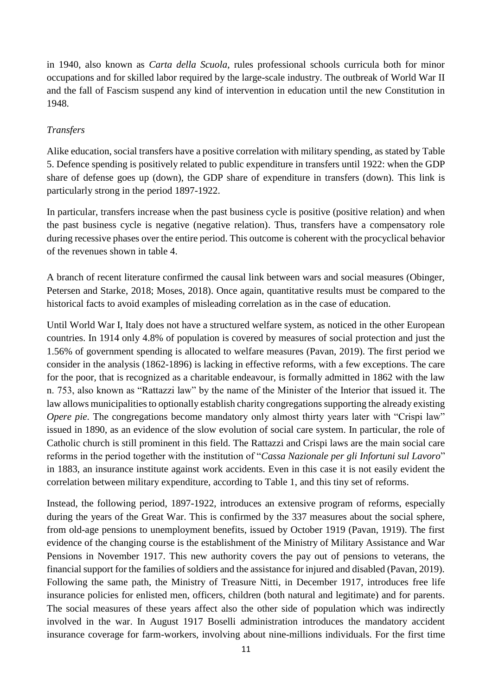in 1940, also known as *Carta della Scuola*, rules professional schools curricula both for minor occupations and for skilled labor required by the large-scale industry. The outbreak of World War II and the fall of Fascism suspend any kind of intervention in education until the new Constitution in 1948.

## *Transfers*

Alike education, social transfers have a positive correlation with military spending, as stated by Table 5. Defence spending is positively related to public expenditure in transfers until 1922: when the GDP share of defense goes up (down), the GDP share of expenditure in transfers (down). This link is particularly strong in the period 1897-1922.

In particular, transfers increase when the past business cycle is positive (positive relation) and when the past business cycle is negative (negative relation). Thus, transfers have a compensatory role during recessive phases over the entire period. This outcome is coherent with the procyclical behavior of the revenues shown in table 4.

A branch of recent literature confirmed the causal link between wars and social measures (Obinger, Petersen and Starke, 2018; Moses, 2018). Once again, quantitative results must be compared to the historical facts to avoid examples of misleading correlation as in the case of education.

Until World War I, Italy does not have a structured welfare system, as noticed in the other European countries. In 1914 only 4.8% of population is covered by measures of social protection and just the 1.56% of government spending is allocated to welfare measures (Pavan, 2019). The first period we consider in the analysis (1862-1896) is lacking in effective reforms, with a few exceptions. The care for the poor, that is recognized as a charitable endeavour, is formally admitted in 1862 with the law n. 753, also known as "Rattazzi law" by the name of the Minister of the Interior that issued it. The law allows municipalities to optionally establish charity congregations supporting the already existing *Opere pie*. The congregations become mandatory only almost thirty years later with "Crispi law" issued in 1890, as an evidence of the slow evolution of social care system. In particular, the role of Catholic church is still prominent in this field. The Rattazzi and Crispi laws are the main social care reforms in the period together with the institution of "*Cassa Nazionale per gli Infortuni sul Lavoro*" in 1883, an insurance institute against work accidents. Even in this case it is not easily evident the correlation between military expenditure, according to Table 1, and this tiny set of reforms.

Instead, the following period, 1897-1922, introduces an extensive program of reforms, especially during the years of the Great War. This is confirmed by the 337 measures about the social sphere, from old-age pensions to unemployment benefits, issued by October 1919 (Pavan, 1919). The first evidence of the changing course is the establishment of the Ministry of Military Assistance and War Pensions in November 1917. This new authority covers the pay out of pensions to veterans, the financial support for the families of soldiers and the assistance for injured and disabled (Pavan, 2019). Following the same path, the Ministry of Treasure Nitti, in December 1917, introduces free life insurance policies for enlisted men, officers, children (both natural and legitimate) and for parents. The social measures of these years affect also the other side of population which was indirectly involved in the war. In August 1917 Boselli administration introduces the mandatory accident insurance coverage for farm-workers, involving about nine-millions individuals. For the first time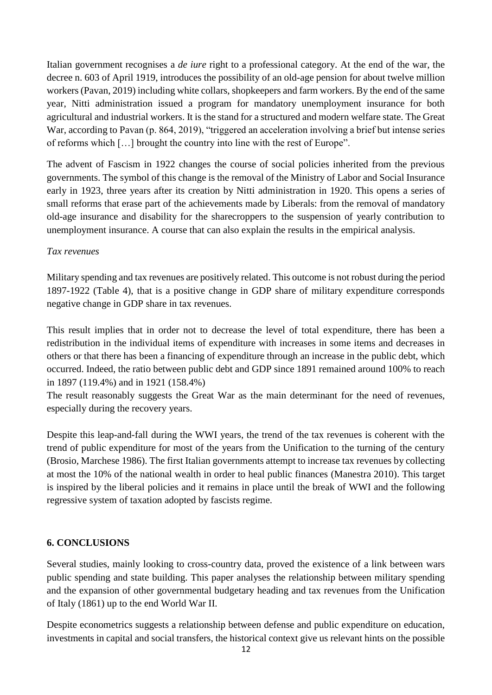Italian government recognises a *de iure* right to a professional category. At the end of the war, the decree n. 603 of April 1919, introduces the possibility of an old-age pension for about twelve million workers (Pavan, 2019) including white collars, shopkeepers and farm workers. By the end of the same year, Nitti administration issued a program for mandatory unemployment insurance for both agricultural and industrial workers. It is the stand for a structured and modern welfare state. The Great War, according to Pavan (p. 864, 2019), "triggered an acceleration involving a brief but intense series of reforms which […] brought the country into line with the rest of Europe".

The advent of Fascism in 1922 changes the course of social policies inherited from the previous governments. The symbol of this change is the removal of the Ministry of Labor and Social Insurance early in 1923, three years after its creation by Nitti administration in 1920. This opens a series of small reforms that erase part of the achievements made by Liberals: from the removal of mandatory old-age insurance and disability for the sharecroppers to the suspension of yearly contribution to unemployment insurance. A course that can also explain the results in the empirical analysis.

#### *Tax revenues*

Military spending and tax revenues are positively related. This outcome is not robust during the period 1897-1922 (Table 4), that is a positive change in GDP share of military expenditure corresponds negative change in GDP share in tax revenues.

This result implies that in order not to decrease the level of total expenditure, there has been a redistribution in the individual items of expenditure with increases in some items and decreases in others or that there has been a financing of expenditure through an increase in the public debt, which occurred. Indeed, the ratio between public debt and GDP since 1891 remained around 100% to reach in 1897 (119.4%) and in 1921 (158.4%)

The result reasonably suggests the Great War as the main determinant for the need of revenues, especially during the recovery years.

Despite this leap-and-fall during the WWI years, the trend of the tax revenues is coherent with the trend of public expenditure for most of the years from the Unification to the turning of the century (Brosio, Marchese 1986). The first Italian governments attempt to increase tax revenues by collecting at most the 10% of the national wealth in order to heal public finances (Manestra 2010). This target is inspired by the liberal policies and it remains in place until the break of WWI and the following regressive system of taxation adopted by fascists regime.

### **6. CONCLUSIONS**

Several studies, mainly looking to cross-country data, proved the existence of a link between wars public spending and state building. This paper analyses the relationship between military spending and the expansion of other governmental budgetary heading and tax revenues from the Unification of Italy (1861) up to the end World War II.

Despite econometrics suggests a relationship between defense and public expenditure on education, investments in capital and social transfers, the historical context give us relevant hints on the possible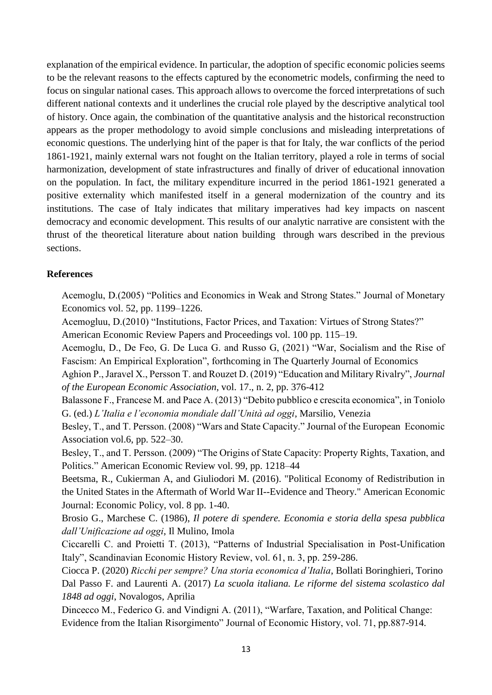explanation of the empirical evidence. In particular, the adoption of specific economic policies seems to be the relevant reasons to the effects captured by the econometric models, confirming the need to focus on singular national cases. This approach allows to overcome the forced interpretations of such different national contexts and it underlines the crucial role played by the descriptive analytical tool of history. Once again, the combination of the quantitative analysis and the historical reconstruction appears as the proper methodology to avoid simple conclusions and misleading interpretations of economic questions. The underlying hint of the paper is that for Italy, the war conflicts of the period 1861-1921, mainly external wars not fought on the Italian territory, played a role in terms of social harmonization, development of state infrastructures and finally of driver of educational innovation on the population. In fact, the military expenditure incurred in the period 1861-1921 generated a positive externality which manifested itself in a general modernization of the country and its institutions. The case of Italy indicates that military imperatives had key impacts on nascent democracy and economic development. This results of our analytic narrative are consistent with the thrust of the theoretical literature about nation building through wars described in the previous sections.

#### **References**

Acemoglu, D.(2005) "Politics and Economics in Weak and Strong States." Journal of Monetary Economics vol. 52, pp. 1199–1226.

Acemogluu, D.(2010) "Institutions, Factor Prices, and Taxation: Virtues of Strong States?" American Economic Review Papers and Proceedings vol. 100 pp. 115–19.

Acemoglu, D., De Feo, G. De Luca G. and Russo G, (2021) "War, Socialism and the Rise of Fascism: An Empirical Exploration", forthcoming in The Quarterly Journal of Economics

Aghion P., Jaravel X., Persson T. and Rouzet D. (2019) "Education and Military Rivalry", *Journal of the European Economic Association*, vol. 17., n. 2, pp. 376-412

Balassone F., Francese M. and Pace A. (2013) "Debito pubblico e crescita economica", in Toniolo G. (ed.) *L'Italia e l'economia mondiale dall'Unità ad oggi*, Marsilio, Venezia

Besley, T., and T. Persson. (2008) "Wars and State Capacity." Journal of the European Economic Association vol.6, pp. 522–30.

Besley, T., and T. Persson. (2009) "The Origins of State Capacity: Property Rights, Taxation, and Politics." American Economic Review vol. 99, pp. 1218–44

Beetsma, R., Cukierman A, and Giuliodori M. (2016). "Political Economy of Redistribution in the United States in the Aftermath of World War II--Evidence and Theory." American Economic Journal: Economic Policy, vol. 8 pp. 1-40.

Brosio G., Marchese C. (1986), *Il potere di spendere. Economia e storia della spesa pubblica dall'Unificazione ad oggi*, Il Mulino, Imola

Ciccarelli C. and Proietti T. (2013), "Patterns of Industrial Specialisation in Post-Unification Italy", Scandinavian Economic History Review, vol. 61, n. 3, pp. 259-286.

Ciocca P. (2020) *Ricchi per sempre? Una storia economica d'Italia*, Bollati Boringhieri, Torino Dal Passo F. and Laurenti A. (2017) *La scuola italiana. Le riforme del sistema scolastico dal 1848 ad oggi*, Novalogos, Aprilia

Dincecco M., Federico G. and Vindigni A. (2011), "Warfare, Taxation, and Political Change: Evidence from the Italian Risorgimento" Journal of Economic History, vol. 71, pp.887-914.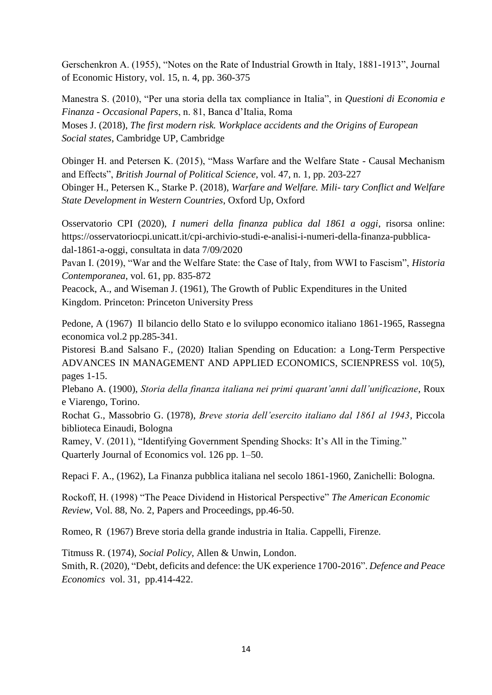Gerschenkron A. (1955), "Notes on the Rate of Industrial Growth in Italy, 1881-1913", Journal of Economic History, vol. 15, n. 4, pp. 360-375

Manestra S. (2010), "Per una storia della tax compliance in Italia", in *Questioni di Economia e Finanza - Occasional Papers*, n. 81, Banca d'Italia, Roma Moses J. (2018), *The first modern risk. Workplace accidents and the Origins of European Social states*, Cambridge UP, Cambridge

Obinger H. and Petersen K. (2015), "Mass Warfare and the Welfare State - Causal Mechanism and Effects", *British Journal of Political Science*, vol. 47, n. 1, pp. 203-227 Obinger H., Petersen K., Starke P. (2018), *Warfare and Welfare. Mili- tary Conflict and Welfare State Development in Western Countries*, Oxford Up, Oxford

Osservatorio CPI (2020), *I numeri della finanza publica dal 1861 a oggi*, risorsa online: https://osservatoriocpi.unicatt.it/cpi-archivio-studi-e-analisi-i-numeri-della-finanza-pubblicadal-1861-a-oggi, consultata in data 7/09/2020

Pavan I. (2019), "War and the Welfare State: the Case of Italy, from WWI to Fascism", *Historia Contemporanea*, vol. 61, pp. 835-872

Peacock, A., and Wiseman J. (1961), The Growth of Public Expenditures in the United Kingdom. Princeton: Princeton University Press

Pedone, A (1967) Il bilancio dello Stato e lo sviluppo economico italiano 1861-1965, Rassegna economica vol.2 pp.285-341.

Pistoresi B.and Salsano F., (2020) Italian Spending on Education: a Long-Term Perspective ADVANCES IN MANAGEMENT AND APPLIED ECONOMICS, SCIENPRESS vol. 10(5), pages 1-15.

Plebano A. (1900), *Storia della finanza italiana nei primi quarant'anni dall'unificazione*, Roux e Viarengo, Torino.

Rochat G., Massobrio G. (1978), *Breve storia dell'esercito italiano dal 1861 al 1943*, Piccola biblioteca Einaudi, Bologna

Ramey, V. (2011), "Identifying Government Spending Shocks: It's All in the Timing." Quarterly Journal of Economics vol. 126 pp. 1–50.

Repaci F. A., (1962), La Finanza pubblica italiana nel secolo 1861-1960, Zanichelli: Bologna.

Rockoff, H. (1998) "The Peace Dividend in Historical Perspective" *The American Economic Review*, Vol. 88, No. 2, Papers and Proceedings, pp.46-50.

Romeo, R (1967) Breve storia della grande industria in Italia. Cappelli, Firenze.

Titmuss R. (1974), *Social Policy*, Allen & Unwin, London.

Smith, R. (2020), "Debt, deficits and defence: the UK experience 1700-2016". *Defence and Peace Economics* vol. 31, pp.414-422.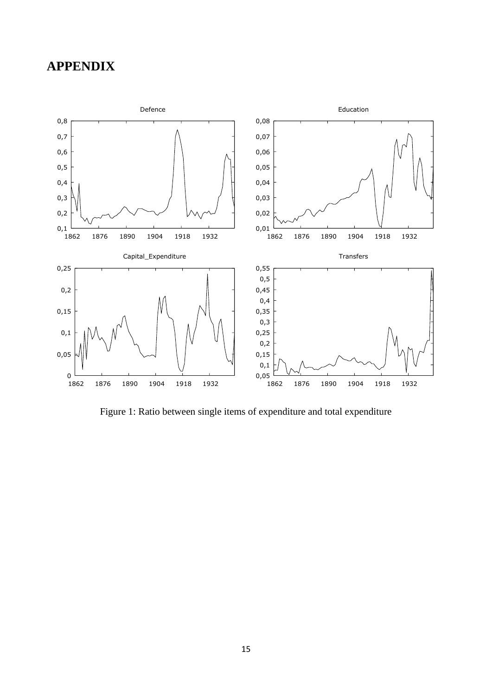# **APPENDIX**



Figure 1: Ratio between single items of expenditure and total expenditure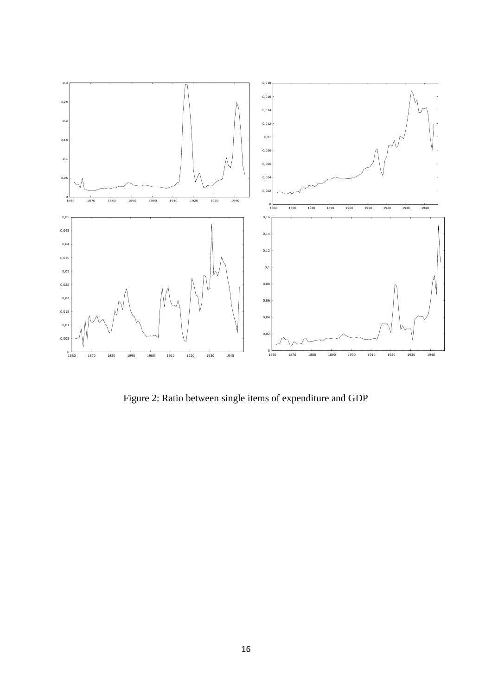

Figure 2: Ratio between single items of expenditure and GDP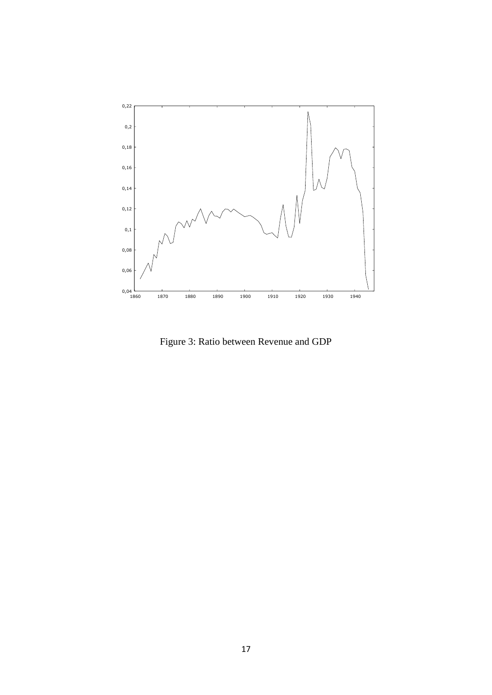

Figure 3: Ratio between Revenue and GDP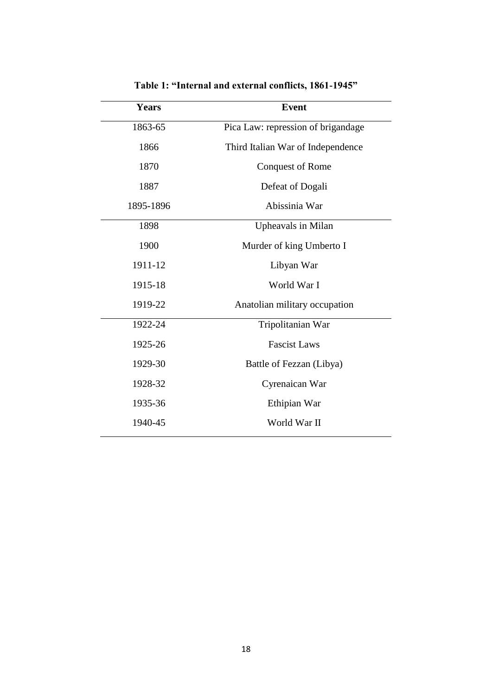| <b>Years</b> | <b>Event</b>                       |  |  |  |  |  |
|--------------|------------------------------------|--|--|--|--|--|
| 1863-65      | Pica Law: repression of brigandage |  |  |  |  |  |
| 1866         | Third Italian War of Independence  |  |  |  |  |  |
| 1870         | <b>Conquest of Rome</b>            |  |  |  |  |  |
| 1887         | Defeat of Dogali                   |  |  |  |  |  |
| 1895-1896    | Abissinia War                      |  |  |  |  |  |
| 1898         | Upheavals in Milan                 |  |  |  |  |  |
| 1900         | Murder of king Umberto I           |  |  |  |  |  |
| 1911-12      | Libyan War                         |  |  |  |  |  |
| 1915-18      | World War I                        |  |  |  |  |  |
| 1919-22      | Anatolian military occupation      |  |  |  |  |  |
| 1922-24      | Tripolitanian War                  |  |  |  |  |  |
| 1925-26      | <b>Fascist Laws</b>                |  |  |  |  |  |
| 1929-30      | Battle of Fezzan (Libya)           |  |  |  |  |  |
| 1928-32      | Cyrenaican War                     |  |  |  |  |  |
| 1935-36      | Ethipian War                       |  |  |  |  |  |
| 1940-45      | World War II                       |  |  |  |  |  |
|              |                                    |  |  |  |  |  |

**Table 1: "Internal and external conflicts, 1861-1945"**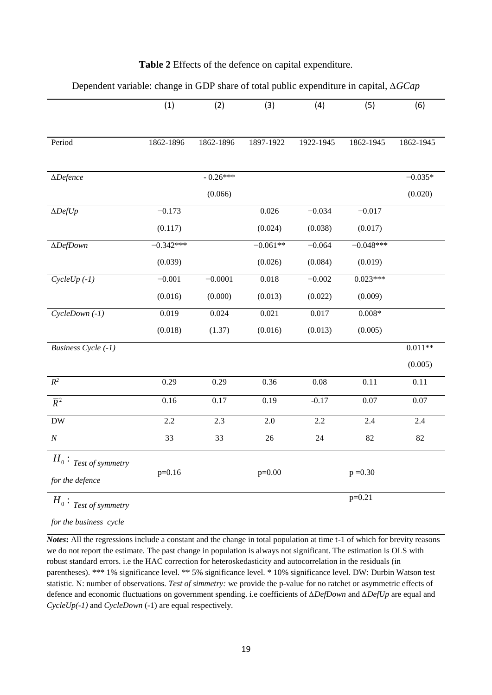|                            | (1)             | (2)        | (3)        | (4)       | (5)         | (6)       |
|----------------------------|-----------------|------------|------------|-----------|-------------|-----------|
|                            |                 |            |            |           |             |           |
| Period                     | 1862-1896       | 1862-1896  | 1897-1922  | 1922-1945 | 1862-1945   | 1862-1945 |
|                            |                 |            |            |           |             |           |
| $\Delta$ Defence           |                 | $-0.26***$ |            |           |             | $-0.035*$ |
|                            |                 | (0.066)    |            |           |             | (0.020)   |
| $\Delta DefUp$             | $-0.173$        |            | 0.026      | $-0.034$  | $-0.017$    |           |
|                            | (0.117)         |            | (0.024)    | (0.038)   | (0.017)     |           |
| $\triangle DefDown$        | $-0.342***$     |            | $-0.061**$ | $-0.064$  | $-0.048***$ |           |
|                            | (0.039)         |            | (0.026)    | (0.084)   | (0.019)     |           |
| $CycleUp(-1)$              | $-0.001$        | $-0.0001$  | 0.018      | $-0.002$  | $0.023***$  |           |
|                            | (0.016)         | (0.000)    | (0.013)    | (0.022)   | (0.009)     |           |
| $CycleDown(-1)$            | 0.019           | 0.024      | 0.021      | 0.017     | $0.008*$    |           |
|                            | (0.018)         | (1.37)     | (0.016)    | (0.013)   | (0.005)     |           |
| <b>Business Cycle (-1)</b> |                 |            |            |           |             | $0.011**$ |
|                            |                 |            |            |           |             | (0.005)   |
| $R^2$                      | 0.29            | 0.29       | 0.36       | 0.08      | 0.11        | 0.11      |
| $\overline{R}^2$           | 0.16            | 0.17       | 0.19       | $-0.17$   | 0.07        | $0.07\,$  |
| ${\rm DW}$                 | 2.2             | 2.3        | $2.0\,$    | 2.2       | 2.4         | 2.4       |
| $\overline{N}$             | $\overline{33}$ | 33         | $26\,$     | 24        | 82          | 82        |
| $H_0$ : Test of symmetry   |                 |            |            |           |             |           |
| for the defence            | $p=0.16$        |            | $p=0.00$   |           | $p = 0.30$  |           |
| $H_0$ : Test of symmetry   |                 |            |            |           | $p=0.21$    |           |

### **Table 2** Effects of the defence on capital expenditure.

Dependent variable: change in GDP share of total public expenditure in capital, *∆GCap*

*for the business cycle*

*Notes*: All the regressions include a constant and the change in total population at time t-1 of which for brevity reasons we do not report the estimate. The past change in population is always not significant. The estimation is OLS with robust standard errors. i.e the HAC correction for heteroskedasticity and autocorrelation in the residuals (in parentheses). \*\*\* 1% significance level. \*\* 5% significance level. \* 10% significance level. DW: Durbin Watson test statistic. N: number of observations. *Test of simmetry:* we provide the p-value for no ratchet or asymmetric effects of defence and economic fluctuations on government spending. i.e coefficients of *∆DefDown* and *∆DefUp* are equal and *CycleUp(-1)* and *CycleDown* (-1) are equal respectively.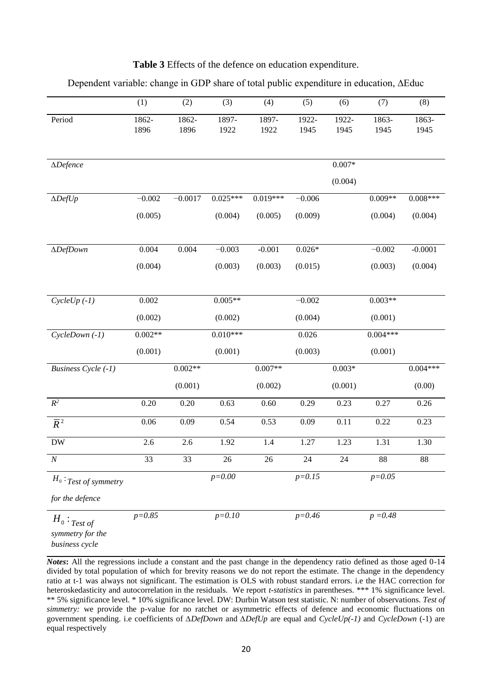| <b>Table 3</b> Effects of the defence on education expenditure. |
|-----------------------------------------------------------------|
|-----------------------------------------------------------------|

|                                    | (1)           | (2)           | (3)           | (4)           | (5)           | (6)           | (7)           | (8)           |
|------------------------------------|---------------|---------------|---------------|---------------|---------------|---------------|---------------|---------------|
| Period                             | 1862-<br>1896 | 1862-<br>1896 | 1897-<br>1922 | 1897-<br>1922 | 1922-<br>1945 | 1922-<br>1945 | 1863-<br>1945 | 1863-<br>1945 |
|                                    |               |               |               |               |               |               |               |               |
| $\Delta$ Defence                   |               |               |               |               |               | $0.007*$      |               |               |
|                                    |               |               |               |               |               | (0.004)       |               |               |
| $\Delta DefUp$                     | $-0.002$      | $-0.0017$     | $0.025***$    | $0.019***$    | $-0.006$      |               | $0.009**$     | $0.008***$    |
|                                    | (0.005)       |               | (0.004)       | (0.005)       | (0.009)       |               | (0.004)       | (0.004)       |
| $\Delta DefDown$                   | 0.004         | 0.004         | $-0.003$      | $-0.001$      | $0.026*$      |               | $-0.002$      | $-0.0001$     |
|                                    | (0.004)       |               | (0.003)       | (0.003)       | (0.015)       |               | (0.003)       | (0.004)       |
|                                    |               |               |               |               |               |               |               |               |
| $CycleUp(-1)$                      | $0.002\,$     |               | $0.005**$     |               | $-0.002$      |               | $0.003**$     |               |
|                                    | (0.002)       |               | (0.002)       |               | (0.004)       |               | (0.001)       |               |
| CycleDown (-1)                     | $0.002**$     |               | $0.010***$    |               | 0.026         |               | $0.004***$    |               |
|                                    | (0.001)       |               | (0.001)       |               | (0.003)       |               | (0.001)       |               |
| <b>Business Cycle (-1)</b>         |               | $0.002**$     |               | $0.007**$     |               | $0.003*$      |               | $0.004***$    |
|                                    |               | (0.001)       |               | (0.002)       |               | (0.001)       |               | (0.00)        |
| $R^2$                              | $0.20\,$      | 0.20          | 0.63          | 0.60          | 0.29          | 0.23          | 0.27          | 0.26          |
| $\overline{R}^2$                   | $0.06\,$      | 0.09          | 0.54          | 0.53          | 0.09          | 0.11          | 0.22          | 0.23          |
| ${\rm DW}$                         | 2.6           | $2.6\,$       | 1.92          | $1.4\,$       | 1.27          | 1.23          | 1.31          | 1.30          |
| $\cal N$                           | 33            | 33            | 26            | 26            | 24            | 24            | 88            | 88            |
| $H_0:$ Test of symmetry            |               |               | $p = 0.00$    |               | $p = 0.15$    |               | $p = 0.05$    |               |
| for the defence                    |               |               |               |               |               |               |               |               |
| $H_0:$ Test of<br>symmetry for the | $p = 0.85$    |               | $p = 0.10$    |               | $p=0.46$      |               | $p = 0.48$    |               |

Dependent variable: change in GDP share of total public expenditure in education, ∆Educ

*business cycle*

*Notes***:** All the regressions include a constant and the past change in the dependency ratio defined as those aged 0-14 divided by total population of which for brevity reasons we do not report the estimate. The change in the dependency ratio at t-1 was always not significant. The estimation is OLS with robust standard errors. i.e the HAC correction for heteroskedasticity and autocorrelation in the residuals. We report *t-statistics* in parentheses. \*\*\* 1% significance level. \*\* 5% significance level. \* 10% significance level. DW: Durbin Watson test statistic. N: number of observations. *Test of simmetry:* we provide the p-value for no ratchet or asymmetric effects of defence and economic fluctuations on government spending. i.e coefficients of *∆DefDown* and *∆DefUp* are equal and *CycleUp(-1)* and *CycleDown* (-1) are equal respectively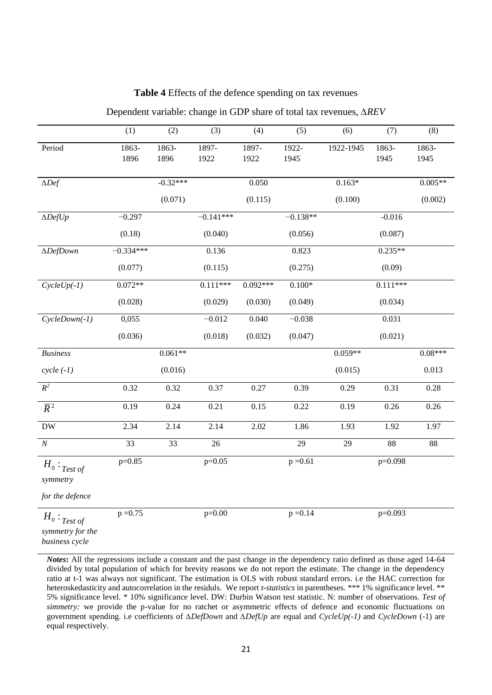#### **Table 4** Effects of the defence spending on tax revenues

|                                                      | (1)           | (2)           | (3)           | (4)           | (5)           | (6)       | (7)           | (8)           |
|------------------------------------------------------|---------------|---------------|---------------|---------------|---------------|-----------|---------------|---------------|
| Period                                               | 1863-<br>1896 | 1863-<br>1896 | 1897-<br>1922 | 1897-<br>1922 | 1922-<br>1945 | 1922-1945 | 1863-<br>1945 | 1863-<br>1945 |
| $\Delta Def$                                         |               | $-0.32***$    |               | 0.050         |               | $0.163*$  |               | $0.005**$     |
|                                                      |               | (0.071)       |               | (0.115)       |               | (0.100)   |               | (0.002)       |
| $\Delta DefUp$                                       | $-0.297$      |               | $-0.141***$   |               | $-0.138**$    |           | $-0.016$      |               |
|                                                      | (0.18)        |               | (0.040)       |               | (0.056)       |           | (0.087)       |               |
| $\triangle DefDown$                                  | $-0.334***$   |               | 0.136         |               | 0.823         |           | $0.235**$     |               |
|                                                      | (0.077)       |               | (0.115)       |               | (0.275)       |           | (0.09)        |               |
| $CycleUp(-1)$                                        | $0.072**$     |               | $0.111***$    | $0.092***$    | $0.100*$      |           | $0.111***$    |               |
|                                                      | (0.028)       |               | (0.029)       | (0.030)       | (0.049)       |           | (0.034)       |               |
| $CycleDown(-1)$                                      | 0,055         |               | $-0.012$      | 0.040         | $-0.038$      |           | 0.031         |               |
|                                                      | (0.036)       |               | (0.018)       | (0.032)       | (0.047)       |           | (0.021)       |               |
| <b>Business</b>                                      |               | $0.061**$     |               |               |               | $0.059**$ |               | $0.08***$     |
| $cycle (-1)$                                         |               | (0.016)       |               |               |               | (0.015)   |               | 0.013         |
| $R^2$                                                | 0.32          | 0.32          | 0.37          | 0.27          | 0.39          | 0.29      | 0.31          | 0.28          |
| $\overline{R}^2$                                     | 0.19          | 0.24          | 0.21          | 0.15          | 0.22          | 0.19      | 0.26          | 0.26          |
| DW                                                   | 2.34          | 2.14          | 2.14          | 2.02          | 1.86          | 1.93      | 1.92          | 1.97          |
| $\overline{N}$                                       | 33            | 33            | 26            |               | 29            | 29        | 88            | 88            |
| $H_0:$ Test of<br>symmetry                           | $p=0.85$      |               | $p=0.05$      |               | $p = 0.61$    |           | p=0.098       |               |
| for the defence                                      |               |               |               |               |               |           |               |               |
| $H_0:$ Test of<br>symmetry for the<br>business cycle | $p = 0.75$    |               | $p=0.00$      |               | $p = 0.14$    |           | p=0.093       |               |

Dependent variable: change in GDP share of total tax revenues, *∆REV*

*Notes***:** All the regressions include a constant and the past change in the dependency ratio defined as those aged 14-64 divided by total population of which for brevity reasons we do not report the estimate. The change in the dependency ratio at t-1 was always not significant. The estimation is OLS with robust standard errors. i.e the HAC correction for heteroskedasticity and autocorrelation in the residuls. We report *t-statistics* in parentheses. \*\*\* 1% significance level. \*\* 5% significance level. \* 10% significance level. DW: Durbin Watson test statistic. N: number of observations. *Test of simmetry:* we provide the p-value for no ratchet or asymmetric effects of defence and economic fluctuations on government spending. i.e coefficients of *∆DefDown* and *∆DefUp* are equal and *CycleUp(-1)* and *CycleDown* (-1) are equal respectively.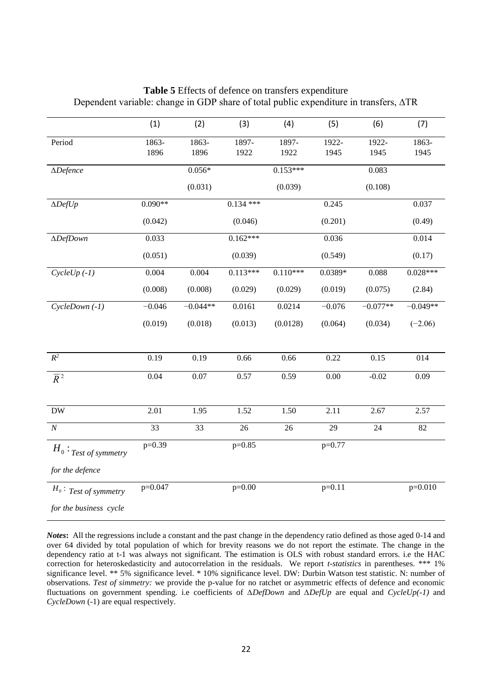|                          | (1)       | (2)        | (3)         | (4)        | (5)       | (6)        | (7)        |
|--------------------------|-----------|------------|-------------|------------|-----------|------------|------------|
| Period                   | 1863-     | 1863-      | 1897-       | 1897-      | 1922-     | 1922-      | 1863-      |
|                          | 1896      | 1896       | 1922        | 1922       | 1945      | 1945       | 1945       |
| $\Delta$ Defence         |           | $0.056*$   |             | $0.153***$ |           | 0.083      |            |
|                          |           | (0.031)    |             | (0.039)    |           | (0.108)    |            |
| $\Delta DefUp$           | $0.090**$ |            | $0.134$ *** |            | 0.245     |            | 0.037      |
|                          | (0.042)   |            | (0.046)     |            | (0.201)   |            | (0.49)     |
| $\triangle DefDown$      | 0.033     |            | $0.162***$  |            | 0.036     |            | 0.014      |
|                          | (0.051)   |            | (0.039)     |            | (0.549)   |            | (0.17)     |
| $CycleUp(-1)$            | 0.004     | 0.004      | $0.113***$  | $0.110***$ | $0.0389*$ | 0.088      | $0.028***$ |
|                          | (0.008)   | (0.008)    | (0.029)     | (0.029)    | (0.019)   | (0.075)    | (2.84)     |
| $CycleDown(-1)$          | $-0.046$  | $-0.044**$ | 0.0161      | 0.0214     | $-0.076$  | $-0.077**$ | $-0.049**$ |
|                          | (0.019)   | (0.018)    | (0.013)     | (0.0128)   | (0.064)   | (0.034)    | $(-2.06)$  |
| $R^2$                    | 0.19      | 0.19       | 0.66        | 0.66       | 0.22      | 0.15       | 014        |
| $\overline{R}^2$         | 0.04      | 0.07       | 0.57        | 0.59       | 0.00      | $-0.02$    | 0.09       |
|                          |           |            |             |            |           |            |            |
| <b>DW</b>                | 2.01      | 1.95       | 1.52        | 1.50       | 2.11      | 2.67       | 2.57       |
| $\overline{N}$           | 33        | 33         | 26          | 26         | 29        | 24         | 82         |
| $H_0:$ Test of symmetry  | $p=0.39$  |            | $p=0.85$    |            | $p=0.77$  |            |            |
| for the defence          |           |            |             |            |           |            |            |
| $H_0$ : Test of symmetry | p=0.047   |            | $p=0.00$    |            | $p=0.11$  |            | $p=0.010$  |
| for the business cycle   |           |            |             |            |           |            |            |

**Table 5** Effects of defence on transfers expenditure Dependent variable: change in GDP share of total public expenditure in transfers, ∆TR

*Notes***:** All the regressions include a constant and the past change in the dependency ratio defined as those aged 0-14 and over 64 divided by total population of which for brevity reasons we do not report the estimate. The change in the dependency ratio at t-1 was always not significant. The estimation is OLS with robust standard errors. i.e the HAC correction for heteroskedasticity and autocorrelation in the residuals. We report *t-statistics* in parentheses. \*\*\* 1% significance level. \*\* 5% significance level. \* 10% significance level. DW: Durbin Watson test statistic. N: number of observations. *Test of simmetry:* we provide the p-value for no ratchet or asymmetric effects of defence and economic fluctuations on government spending. i.e coefficients of *∆DefDown* and *∆DefUp* are equal and *CycleUp(-1)* and *CycleDown* (-1) are equal respectively.